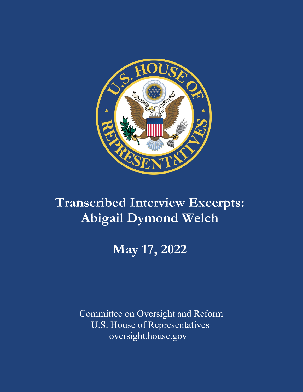

## **Transcribed Interview Excerpts: Abigail Dymond Welch**

# **May 17, 2022**

Committee on Oversight and Reform U.S. House of Representatives oversight.house.gov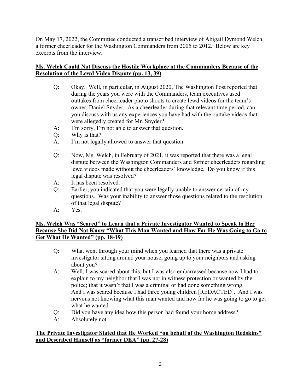On May 17, 2022, the Committee conducted a transcribed interview of Abigail Dymond Welch, a former cheerleader for the Washington Commanders from 2005 to 2012. Below are key excerpts from the interview.

## **Ms. Welch Could Not Discuss the Hostile Workplace at the Commanders Because of the Resolution of the Lewd Video Dispute (pp. 13, 39)**

- Q: Okay. Well, in particular, in August 2020, The Washington Post reported that during the years you were with the Commanders, team executives used outtakes from cheerleader photo shoots to create lewd videos for the team's owner, Daniel Snyder. As a cheerleader during that relevant time period, can you discuss with us any experiences you have had with the outtake videos that were allegedly created for Mr. Snyder?
- A: I'm sorry, I'm not able to answer that question.
- Q: Why is that?
- A: I'm not legally allowed to answer that question.
- …
- Q: Now, Ms. Welch, in February of 2021, it was reported that there was a legal dispute between the Washington Commanders and former cheerleaders regarding lewd videos made without the cheerleaders' knowledge. Do you know if this legal dispute was resolved?
- A: It has been resolved.
- Q: Earlier, you indicated that you were legally unable to answer certain of my questions. Was your inability to answer those questions related to the resolution of that legal dispute?
- A: Yes.

### **Ms. Welch Was "Scared" to Learn that a Private Investigator Wanted to Speak to Her Because She Did Not Know "What This Man Wanted and How Far He Was Going to Go to Get What He Wanted" (pp. 18-19)**

- Q: What went through your mind when you learned that there was a private investigator sitting around your house, going up to your neighbors and asking about you?
- A: Well, I was scared about this, but I was also embarrassed because now I had to explain to my neighbor that I was not in witness protection or wanted by the police; that it wasn't that I was a criminal or had done something wrong. And I was scared because I had three young children [REDACTED]. And I was nervous not knowing what this man wanted and how far he was going to go to get what he wanted.
- Q: Did you have any idea how this person had found your home address?
- A: Absolutely not.

### **The Private Investigator Stated that He Worked "on behalf of the Washington Redskins" and Described Himself as "former DEA" (pp. 27-28)**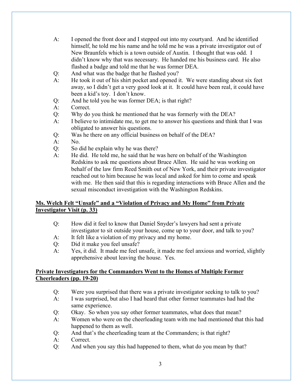- A: I opened the front door and I stepped out into my courtyard. And he identified himself, he told me his name and he told me he was a private investigator out of New Braunfels which is a town outside of Austin. I thought that was odd. I didn't know why that was necessary. He handed me his business card. He also flashed a badge and told me that he was former DEA.
- Q: And what was the badge that he flashed you?
- A: He took it out of his shirt pocket and opened it. We were standing about six feet away, so I didn't get a very good look at it. It could have been real, it could have been a kid's toy. I don't know.
- Q: And he told you he was former DEA; is that right?
- A: Correct.
- Q: Why do you think he mentioned that he was formerly with the DEA?
- A: I believe to intimidate me, to get me to answer his questions and think that I was obligated to answer his questions.
- Q: Was he there on any official business on behalf of the DEA?
- A: No.
- Q: So did he explain why he was there?
- A: He did. He told me, he said that he was here on behalf of the Washington Redskins to ask me questions about Bruce Allen. He said he was working on behalf of the law firm Reed Smith out of New York, and their private investigator reached out to him because he was local and asked for him to come and speak with me. He then said that this is regarding interactions with Bruce Allen and the sexual misconduct investigation with the Washington Redskins.

### **Ms. Welch Felt "Unsafe" and a "Violation of Privacy and My Home" from Private Investigator Visit (p. 33)**

- Q: How did it feel to know that Daniel Snyder's lawyers had sent a private investigator to sit outside your house, come up to your door, and talk to you?
- A: It felt like a violation of my privacy and my home.
- Q: Did it make you feel unsafe?
- A: Yes, it did. It made me feel unsafe, it made me feel anxious and worried, slightly apprehensive about leaving the house. Yes.

### **Private Investigators for the Commanders Went to the Homes of Multiple Former Cheerleaders (pp. 19-20)**

- Q: Were you surprised that there was a private investigator seeking to talk to you?
- A: I was surprised, but also I had heard that other former teammates had had the same experience.
- Q: Okay. So when you say other former teammates, what does that mean?
- A: Women who were on the cheerleading team with me had mentioned that this had happened to them as well.
- Q: And that's the cheerleading team at the Commanders; is that right?
- A: Correct.
- Q: And when you say this had happened to them, what do you mean by that?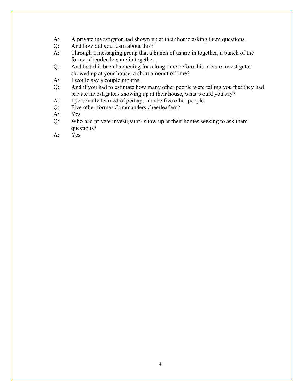- A: A private investigator had shown up at their home asking them questions.
- Q: And how did you learn about this?
- A: Through a messaging group that a bunch of us are in together, a bunch of the former cheerleaders are in together.
- Q: And had this been happening for a long time before this private investigator showed up at your house, a short amount of time?
- A: I would say a couple months.
- Q: And if you had to estimate how many other people were telling you that they had private investigators showing up at their house, what would you say?
- A: I personally learned of perhaps maybe five other people.
- Q: Five other former Commanders cheerleaders?
- A: Yes.
- Q: Who had private investigators show up at their homes seeking to ask them questions?
- A: Yes.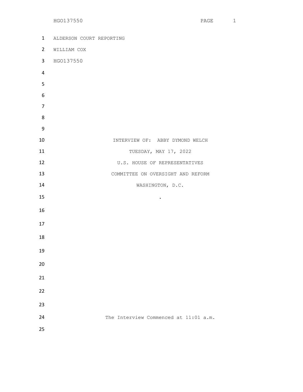| 1              | ALDERSON COURT REPORTING              |
|----------------|---------------------------------------|
| $2^{\circ}$    | WILLIAM COX                           |
| 3 <sup>7</sup> | HGO137550                             |
| $\overline{4}$ |                                       |
| 5              |                                       |
| 6              |                                       |
| $\overline{7}$ |                                       |
| 8              |                                       |
| 9              |                                       |
| 10             | INTERVIEW OF: ABBY DYMOND WELCH       |
| 11             | TUESDAY, MAY 17, 2022                 |
| 12             | U.S. HOUSE OF REPRESENTATIVES         |
| 13             | COMMITTEE ON OVERSIGHT AND REFORM     |
| 14             | WASHINGTON, D.C.                      |
| 15             | $\bullet$                             |
| 16             |                                       |
| 17             |                                       |
| 18             |                                       |
| 19             |                                       |
|                |                                       |
| 20             |                                       |
| 21             |                                       |
| 22             |                                       |
| 23             |                                       |
| 24             | The Interview Commenced at 11:01 a.m. |
| 25             |                                       |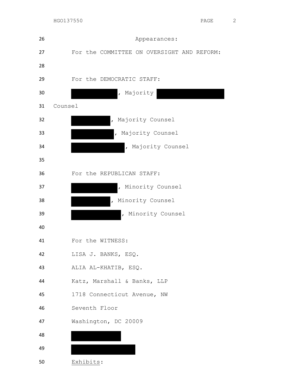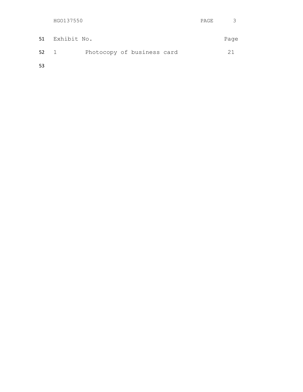|    | HGO137550      |                            | PAGE |      |
|----|----------------|----------------------------|------|------|
|    | 51 Exhibit No. |                            |      | Page |
| 52 | $\sim$ 1       | Photocopy of business card |      | 21   |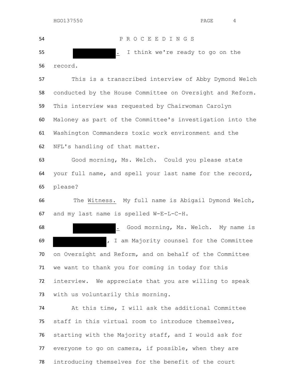P R O C E E D I N G S . I think we're ready to go on the record. This is a transcribed interview of Abby Dymond Welch conducted by the House Committee on Oversight and Reform.

 This interview was requested by Chairwoman Carolyn Maloney as part of the Committee's investigation into the Washington Commanders toxic work environment and the NFL's handling of that matter.

 Good morning, Ms. Welch. Could you please state your full name, and spell your last name for the record, please?

 The Witness. My full name is Abigail Dymond Welch, and my last name is spelled W-E-L-C-H.

 . Good morning, Ms. Welch. My name is , I am Majority counsel for the Committee on Oversight and Reform, and on behalf of the Committee we want to thank you for coming in today for this interview. We appreciate that you are willing to speak with us voluntarily this morning.

 At this time, I will ask the additional Committee staff in this virtual room to introduce themselves, starting with the Majority staff, and I would ask for everyone to go on camera, if possible, when they are introducing themselves for the benefit of the court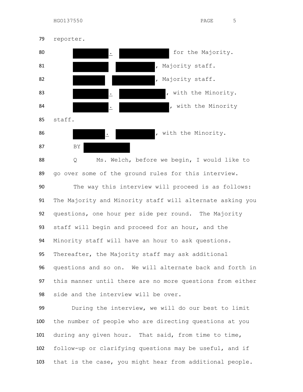

 go over some of the ground rules for this interview. The way this interview will proceed is as follows: The Majority and Minority staff will alternate asking you questions, one hour per side per round. The Majority staff will begin and proceed for an hour, and the Minority staff will have an hour to ask questions. Thereafter, the Majority staff may ask additional questions and so on. We will alternate back and forth in this manner until there are no more questions from either side and the interview will be over.

 During the interview, we will do our best to limit the number of people who are directing questions at you during any given hour. That said, from time to time, follow-up or clarifying questions may be useful, and if that is the case, you might hear from additional people.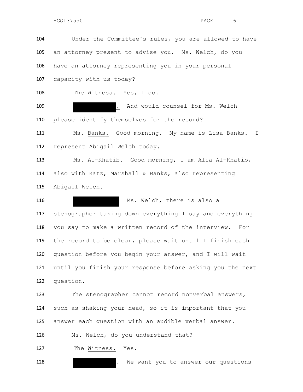Under the Committee's rules, you are allowed to have an attorney present to advise you. Ms. Welch, do you have an attorney representing you in your personal

capacity with us today?

The Witness. Yes, I do.

109 . And would counsel for Ms. Welch please identify themselves for the record?

 Ms. Banks. Good morning. My name is Lisa Banks. I represent Abigail Welch today.

 Ms. Al-Khatib. Good morning, I am Alia Al-Khatib, also with Katz, Marshall & Banks, also representing Abigail Welch.

116 Ms. Welch, there is also a stenographer taking down everything I say and everything you say to make a written record of the interview. For the record to be clear, please wait until I finish each question before you begin your answer, and I will wait until you finish your response before asking you the next question.

 The stenographer cannot record nonverbal answers, such as shaking your head, so it is important that you answer each question with an audible verbal answer.

Ms. Welch, do you understand that?

The Witness. Yes.

**.** We want you to answer our questions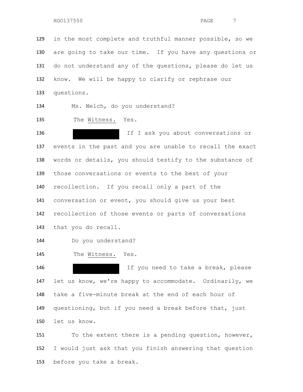in the most complete and truthful manner possible, so we are going to take our time. If you have any questions or do not understand any of the questions, please do let us know. We will be happy to clarify or rephrase our questions.

Ms. Welch, do you understand?

The Witness. Yes.

 If I ask you about conversations or events in the past and you are unable to recall the exact words or details, you should testify to the substance of those conversations or events to the best of your recollection. If you recall only a part of the conversation or event, you should give us your best recollection of those events or parts of conversations that you do recall.

Do you understand?

The Witness. Yes.

 If you need to take a break, please let us know, we're happy to accommodate. Ordinarily, we take a five-minute break at the end of each hour of questioning, but if you need a break before that, just let us know.

151 To the extent there is a pending question, however, I would just ask that you finish answering that question before you take a break.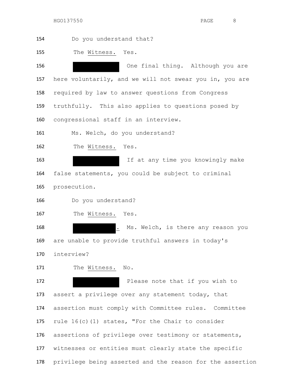Do you understand that? The Witness. Yes. One final thing. Although you are here voluntarily, and we will not swear you in, you are required by law to answer questions from Congress truthfully. This also applies to questions posed by congressional staff in an interview. 161 Ms. Welch, do you understand? The Witness. Yes. If at any time you knowingly make false statements, you could be subject to criminal prosecution. Do you understand? The Witness. Yes. 168 . Ms. Welch, is there any reason you are unable to provide truthful answers in today's interview? 171 The Witness. No. **Please note that if you wish to**  assert a privilege over any statement today, that assertion must comply with Committee rules. Committee rule 16(c)(1) states, "For the Chair to consider assertions of privilege over testimony or statements, witnesses or entities must clearly state the specific privilege being asserted and the reason for the assertion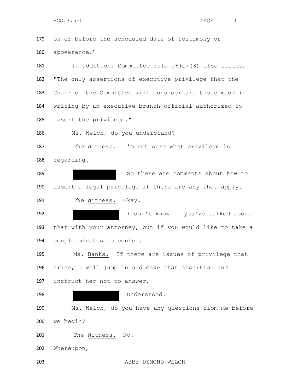on or before the scheduled date of testimony or appearance."

181 In addition, Committee rule 16(c)(3) also states, "The only assertions of executive privilege that the Chair of the Committee will consider are those made in writing by an executive branch official authorized to assert the privilege."

Ms. Welch, do you understand?

 The Witness. I'm not sure what privilege is regarding.

**.** So these are comments about how to assert a legal privilege if there are any that apply. 191 The Witness. Okay.

192 192 I don't know if you've talked about that with your attorney, but if you would like to take a couple minutes to confer.

 Ms. Banks. If there are issues of privilege that arise, I will jump in and make that assertion and instruct her not to answer.

 Understood. Ms. Welch, do you have any questions from me before we begin? 201 The Witness. No.

Whereupon,

ABBY DYMOND WELCH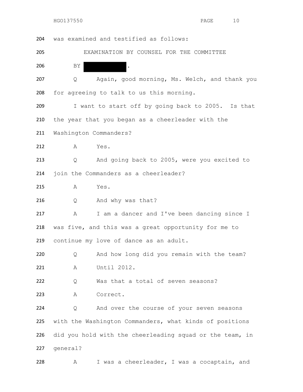| 204 |                        | was examined and testified as follows:                   |
|-----|------------------------|----------------------------------------------------------|
| 205 |                        | EXAMINATION BY COUNSEL FOR THE COMMITTEE                 |
| 206 | ΒY                     | ۱.                                                       |
| 207 | Q                      | Again, good morning, Ms. Welch, and thank you            |
| 208 |                        | for agreeing to talk to us this morning.                 |
| 209 |                        | I want to start off by going back to 2005. Is that       |
| 210 |                        | the year that you began as a cheerleader with the        |
| 211 | Washington Commanders? |                                                          |
| 212 | А                      | Yes.                                                     |
| 213 | Q                      | And going back to 2005, were you excited to              |
| 214 |                        | join the Commanders as a cheerleader?                    |
| 215 | Α                      | Yes.                                                     |
| 216 | Q                      | And why was that?                                        |
| 217 | Α                      | I am a dancer and I've been dancing since I              |
| 218 |                        | was five, and this was a great opportunity for me to     |
| 219 |                        | continue my love of dance as an adult.                   |
| 220 | Q                      | And how long did you remain with the team?               |
| 221 | Α                      | Until 2012.                                              |
| 222 | Q                      | Was that a total of seven seasons?                       |
| 223 | Α                      | Correct.                                                 |
| 224 | Q                      | And over the course of your seven seasons                |
| 225 |                        | with the Washington Commanders, what kinds of positions  |
| 226 |                        | did you hold with the cheerleading squad or the team, in |
| 227 | general?               |                                                          |
| 228 | Α                      | I was a cheerleader, I was a cocaptain, and              |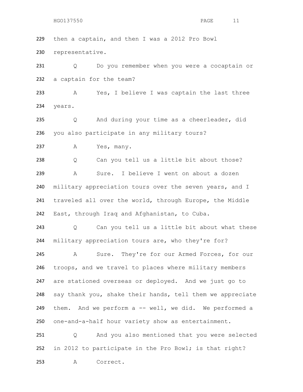then a captain, and then I was a 2012 Pro Bowl representative.

231 Q Do you remember when you were a cocaptain or a captain for the team?

 A Yes, I believe I was captain the last three years.

 Q And during your time as a cheerleader, did you also participate in any military tours?

237 A Yes, many.

 Q Can you tell us a little bit about those? A Sure. I believe I went on about a dozen military appreciation tours over the seven years, and I traveled all over the world, through Europe, the Middle East, through Iraq and Afghanistan, to Cuba.

 Q Can you tell us a little bit about what these 244 military appreciation tours are, who they're for?

 A Sure. They're for our Armed Forces, for our troops, and we travel to places where military members are stationed overseas or deployed. And we just go to say thank you, shake their hands, tell them we appreciate them. And we perform a -- well, we did. We performed a one-and-a-half hour variety show as entertainment.

 Q And you also mentioned that you were selected in 2012 to participate in the Pro Bowl; is that right? A Correct.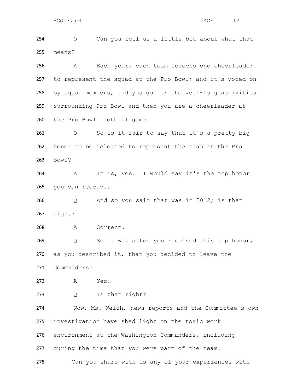Q Can you tell us a little bit about what that means?

 A Each year, each team selects one cheerleader to represent the squad at the Pro Bowl; and it's voted on by squad members, and you go for the week-long activities surrounding Pro Bowl and then you are a cheerleader at the Pro Bowl football game.

 Q So is it fair to say that it's a pretty big honor to be selected to represent the team at the Pro Bowl?

 A It is, yes. I would say it's the top honor you can receive.

 Q And so you said that was in 2012; is that right?

A Correct.

 Q So it was after you received this top honor, as you described it, that you decided to leave the Commanders?

A Yes.

Q Is that right?

 Now, Ms. Welch, news reports and the Committee's own investigation have shed light on the toxic work environment at the Washington Commanders, including during the time that you were part of the team.

Can you share with us any of your experiences with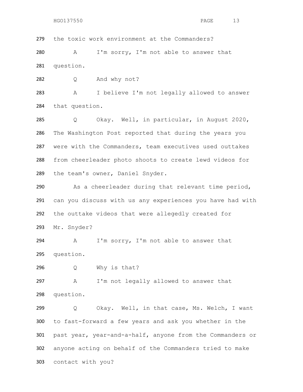the toxic work environment at the Commanders?

 A I'm sorry, I'm not able to answer that question.

Q And why not?

 A I believe I'm not legally allowed to answer that question.

 Q Okay. Well, in particular, in August 2020, The Washington Post reported that during the years you were with the Commanders, team executives used outtakes from cheerleader photo shoots to create lewd videos for the team's owner, Daniel Snyder.

 As a cheerleader during that relevant time period, can you discuss with us any experiences you have had with the outtake videos that were allegedly created for Mr. Snyder?

 A I'm sorry, I'm not able to answer that question.

Q Why is that?

 A I'm not legally allowed to answer that question.

 Q Okay. Well, in that case, Ms. Welch, I want to fast-forward a few years and ask you whether in the past year, year-and-a-half, anyone from the Commanders or anyone acting on behalf of the Commanders tried to make contact with you?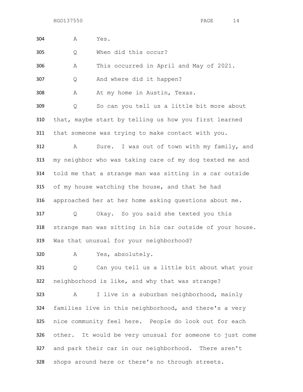| 304 | Α | Yes.                                                      |
|-----|---|-----------------------------------------------------------|
| 305 | Q | When did this occur?                                      |
| 306 | Α | This occurred in April and May of 2021.                   |
| 307 | Q | And where did it happen?                                  |
| 308 | Α | At my home in Austin, Texas.                              |
| 309 | Q | So can you tell us a little bit more about                |
| 310 |   | that, maybe start by telling us how you first learned     |
| 311 |   | that someone was trying to make contact with you.         |
| 312 | A | Sure. I was out of town with my family, and               |
| 313 |   | my neighbor who was taking care of my dog texted me and   |
| 314 |   | told me that a strange man was sitting in a car outside   |
| 315 |   | of my house watching the house, and that he had           |
| 316 |   | approached her at her home asking questions about me.     |
| 317 | Q | Okay. So you said she texted you this                     |
| 318 |   | strange man was sitting in his car outside of your house. |
| 319 |   | Was that unusual for your neighborhood?                   |
| 320 |   | A Yes, absolutely.                                        |
| 321 | Q | Can you tell us a little bit about what your              |
| 322 |   | neighborhood is like, and why that was strange?           |
| 323 | A | I live in a suburban neighborhood, mainly                 |
| 324 |   | families live in this neighborhood, and there's a very    |
| 325 |   | nice community feel here. People do look out for each     |
| 326 |   | other. It would be very unusual for someone to just come  |
| 327 |   | and park their car in our neighborhood. There aren't      |
| 328 |   | shops around here or there's no through streets.          |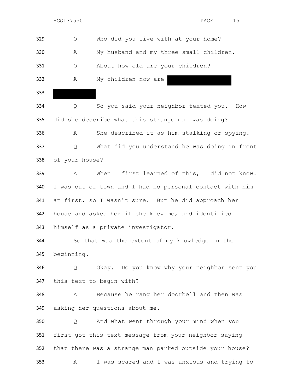Q Who did you live with at your home? A My husband and my three small children. Q About how old are your children? A My children now are . Q So you said your neighbor texted you. How

 did she describe what this strange man was doing? A She described it as him stalking or spying. Q What did you understand he was doing in front of your house?

 A When I first learned of this, I did not know. I was out of town and I had no personal contact with him at first, so I wasn't sure. But he did approach her house and asked her if she knew me, and identified himself as a private investigator.

 So that was the extent of my knowledge in the beginning.

 Q Okay. Do you know why your neighbor sent you this text to begin with?

 A Because he rang her doorbell and then was asking her questions about me.

 Q And what went through your mind when you first got this text message from your neighbor saying that there was a strange man parked outside your house? A I was scared and I was anxious and trying to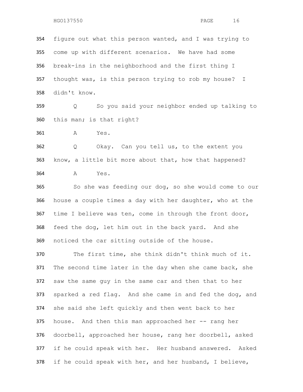figure out what this person wanted, and I was trying to come up with different scenarios. We have had some break-ins in the neighborhood and the first thing I thought was, is this person trying to rob my house? I didn't know.

 Q So you said your neighbor ended up talking to this man; is that right?

A Yes.

 Q Okay. Can you tell us, to the extent you know, a little bit more about that, how that happened? A Yes.

 So she was feeding our dog, so she would come to our house a couple times a day with her daughter, who at the time I believe was ten, come in through the front door, feed the dog, let him out in the back yard. And she noticed the car sitting outside of the house.

 The first time, she think didn't think much of it. The second time later in the day when she came back, she saw the same guy in the same car and then that to her sparked a red flag. And she came in and fed the dog, and she said she left quickly and then went back to her house. And then this man approached her -- rang her doorbell, approached her house, rang her doorbell, asked if he could speak with her. Her husband answered. Asked if he could speak with her, and her husband, I believe,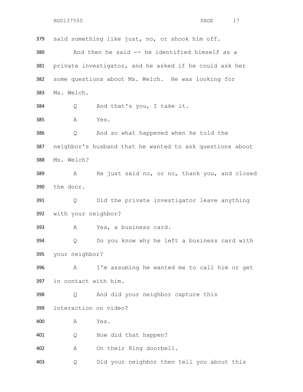said something like just, no, or shook him off. And then he said -- he identified himself as a private investigator, and he asked if he could ask her some questions about Ms. Welch. He was looking for Ms. Welch. Q And that's you, I take it. A Yes. Q And so what happened when he told the neighbor's husband that he wanted to ask questions about Ms. Welch? A He just said no, or no, thank you, and closed the door. Q Did the private investigator leave anything with your neighbor? A Yes, a business card. Q Do you know why he left a business card with your neighbor? A I'm assuming he wanted me to call him or get in contact with him. Q And did your neighbor capture this interaction on video? A Yes. Q How did that happen? A On their Ring doorbell. Q Did your neighbor then tell you about this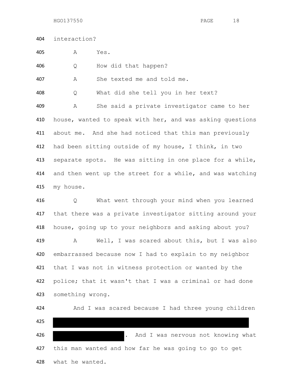interaction?

A Yes.

Q How did that happen?

A She texted me and told me.

Q What did she tell you in her text?

 A She said a private investigator came to her house, wanted to speak with her, and was asking questions about me. And she had noticed that this man previously had been sitting outside of my house, I think, in two separate spots. He was sitting in one place for a while, and then went up the street for a while, and was watching my house.

 Q What went through your mind when you learned that there was a private investigator sitting around your house, going up to your neighbors and asking about you? A Well, I was scared about this, but I was also embarrassed because now I had to explain to my neighbor that I was not in witness protection or wanted by the police; that it wasn't that I was a criminal or had done something wrong.

424 And I was scared because I had three young children . And I was nervous not knowing what this man wanted and how far he was going to go to get what he wanted.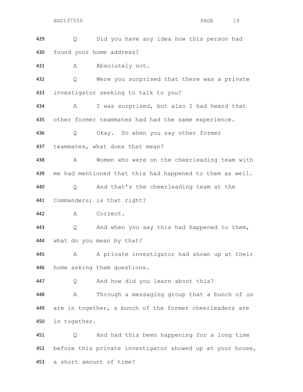Q Did you have any idea how this person had found your home address?

431 A Absolutely not.

432 Q Were you surprised that there was a private investigator seeking to talk to you?

 A I was surprised, but also I had heard that other former teammates had had the same experience.

Q Okay. So when you say other former

teammates, what does that mean?

 A Women who were on the cheerleading team with me had mentioned that this had happened to them as well.

Q And that's the cheerleading team at the

Commanders; is that right?

A Correct.

 Q And when you say this had happened to them, what do you mean by that?

445 A A private investigator had shown up at their home asking them questions.

Q And how did you learn about this?

 A Through a messaging group that a bunch of us are in together, a bunch of the former cheerleaders are in together.

 Q And had this been happening for a long time 452 before this private investigator showed up at your house, a short amount of time?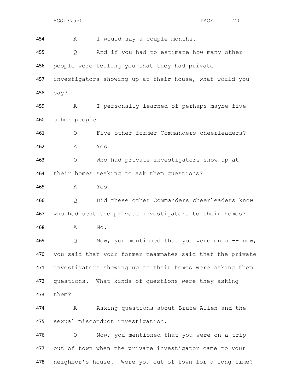A I would say a couple months. Q And if you had to estimate how many other people were telling you that they had private investigators showing up at their house, what would you say? A I personally learned of perhaps maybe five other people. Q Five other former Commanders cheerleaders? A Yes. Q Who had private investigators show up at their homes seeking to ask them questions? A Yes. Q Did these other Commanders cheerleaders know who had sent the private investigators to their homes? A No. 469 Q Now, you mentioned that you were on a -- now, you said that your former teammates said that the private investigators showing up at their homes were asking them questions. What kinds of questions were they asking them? A Asking questions about Bruce Allen and the sexual misconduct investigation. Q Now, you mentioned that you were on a trip out of town when the private investigator came to your

neighbor's house. Were you out of town for a long time?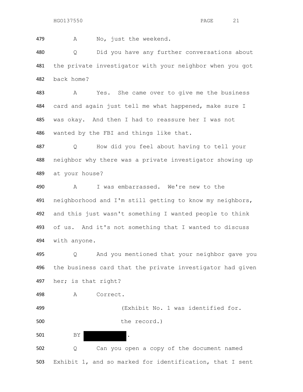A No, just the weekend.

 Q Did you have any further conversations about the private investigator with your neighbor when you got back home?

 A Yes. She came over to give me the business card and again just tell me what happened, make sure I was okay. And then I had to reassure her I was not wanted by the FBI and things like that.

 Q How did you feel about having to tell your neighbor why there was a private investigator showing up at your house?

 A I was embarrassed. We're new to the neighborhood and I'm still getting to know my neighbors, and this just wasn't something I wanted people to think of us. And it's not something that I wanted to discuss with anyone.

 Q And you mentioned that your neighbor gave you the business card that the private investigator had given her; is that right?

A Correct.

 (Exhibit No. 1 was identified for. 500 the record.)

501 BY .

 Q Can you open a copy of the document named Exhibit 1, and so marked for identification, that I sent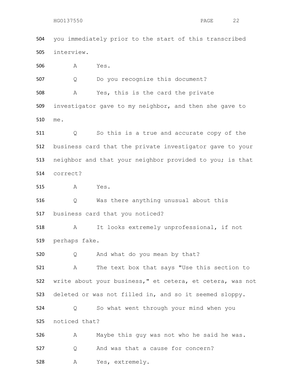you immediately prior to the start of this transcribed interview. A Yes.

Q Do you recognize this document?

 A Yes, this is the card the private investigator gave to my neighbor, and then she gave to me.

 Q So this is a true and accurate copy of the business card that the private investigator gave to your neighbor and that your neighbor provided to you; is that correct?

A Yes.

 Q Was there anything unusual about this business card that you noticed?

 A It looks extremely unprofessional, if not perhaps fake.

Q And what do you mean by that?

 A The text box that says "Use this section to write about your business," et cetera, et cetera, was not deleted or was not filled in, and so it seemed sloppy.

 Q So what went through your mind when you noticed that?

 A Maybe this guy was not who he said he was. 527 Q And was that a cause for concern? A Yes, extremely.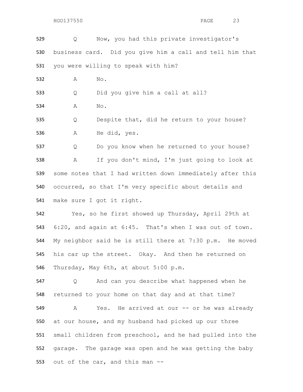```
HGO137550 PAGE 23
```
 Q Now, you had this private investigator's business card. Did you give him a call and tell him that you were willing to speak with him? A No. Q Did you give him a call at all? A No. Q Despite that, did he return to your house? A He did, yes. Q Do you know when he returned to your house? A If you don't mind, I'm just going to look at some notes that I had written down immediately after this occurred, so that I'm very specific about details and

make sure I got it right.

 Yes, so he first showed up Thursday, April 29th at 6:20, and again at 6:45. That's when I was out of town. My neighbor said he is still there at 7:30 p.m. He moved his car up the street. Okay. And then he returned on Thursday, May 6th, at about 5:00 p.m.

 Q And can you describe what happened when he returned to your home on that day and at that time?

549 A Yes. He arrived at our -- or he was already at our house, and my husband had picked up our three small children from preschool, and he had pulled into the garage. The garage was open and he was getting the baby out of the car, and this man --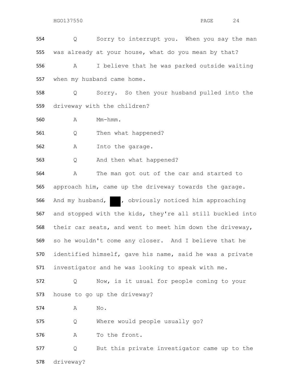Q Sorry to interrupt you. When you say the man was already at your house, what do you mean by that? A I believe that he was parked outside waiting when my husband came home.

 Q Sorry. So then your husband pulled into the driveway with the children?

A Mm-hmm.

Q Then what happened?

A Into the garage.

Q And then what happened?

 A The man got out of the car and started to approach him, came up the driveway towards the garage. 566 And my husband, , obviously noticed him approaching and stopped with the kids, they're all still buckled into their car seats, and went to meet him down the driveway, so he wouldn't come any closer. And I believe that he identified himself, gave his name, said he was a private investigator and he was looking to speak with me.

 Q Now, is it usual for people coming to your house to go up the driveway?

A No.

Q Where would people usually go?

A To the front.

 Q But this private investigator came up to the driveway?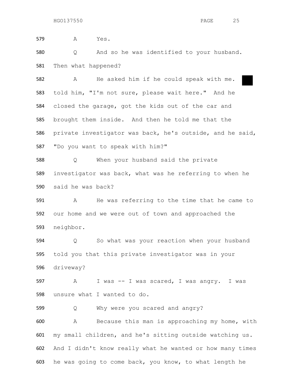A Yes. Q And so he was identified to your husband. Then what happened? A He asked him if he could speak with me. told him, "I'm not sure, please wait here." And he closed the garage, got the kids out of the car and brought them inside. And then he told me that the private investigator was back, he's outside, and he said, "Do you want to speak with him?"

 Q When your husband said the private investigator was back, what was he referring to when he said he was back?

 A He was referring to the time that he came to our home and we were out of town and approached the neighbor.

 Q So what was your reaction when your husband told you that this private investigator was in your driveway?

 A I was -- I was scared, I was angry. I was unsure what I wanted to do.

Q Why were you scared and angry?

 A Because this man is approaching my home, with my small children, and he's sitting outside watching us. And I didn't know really what he wanted or how many times he was going to come back, you know, to what length he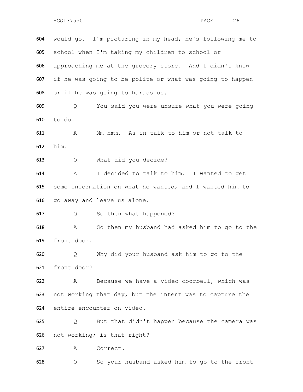would go. I'm picturing in my head, he's following me to school when I'm taking my children to school or approaching me at the grocery store. And I didn't know if he was going to be polite or what was going to happen or if he was going to harass us.

 Q You said you were unsure what you were going to do.

 A Mm-hmm. As in talk to him or not talk to him.

Q What did you decide?

 A I decided to talk to him. I wanted to get some information on what he wanted, and I wanted him to go away and leave us alone.

Q So then what happened?

 A So then my husband had asked him to go to the front door.

 Q Why did your husband ask him to go to the front door?

 A Because we have a video doorbell, which was not working that day, but the intent was to capture the entire encounter on video.

 Q But that didn't happen because the camera was not working; is that right?

A Correct.

Q So your husband asked him to go to the front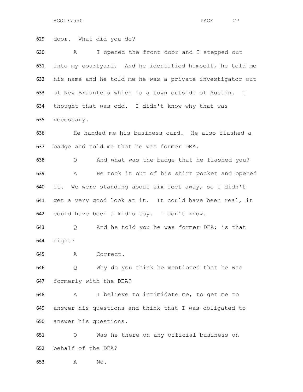door. What did you do? A I opened the front door and I stepped out into my courtyard. And he identified himself, he told me his name and he told me he was a private investigator out of New Braunfels which is a town outside of Austin. I thought that was odd. I didn't know why that was necessary. He handed me his business card. He also flashed a badge and told me that he was former DEA. Q And what was the badge that he flashed you? A He took it out of his shirt pocket and opened it. We were standing about six feet away, so I didn't get a very good look at it. It could have been real, it could have been a kid's toy. I don't know. Q And he told you he was former DEA; is that right? A Correct. Q Why do you think he mentioned that he was formerly with the DEA? A I believe to intimidate me, to get me to answer his questions and think that I was obligated to answer his questions. Q Was he there on any official business on behalf of the DEA? A No.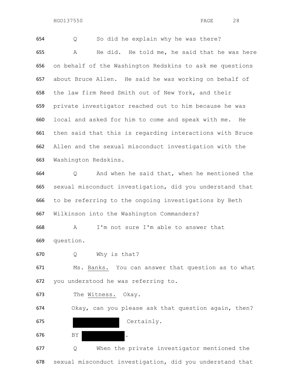Q So did he explain why he was there? A He did. He told me, he said that he was here on behalf of the Washington Redskins to ask me questions about Bruce Allen. He said he was working on behalf of the law firm Reed Smith out of New York, and their private investigator reached out to him because he was local and asked for him to come and speak with me. He then said that this is regarding interactions with Bruce Allen and the sexual misconduct investigation with the Washington Redskins. Q And when he said that, when he mentioned the sexual misconduct investigation, did you understand that to be referring to the ongoing investigations by Beth Wilkinson into the Washington Commanders? A I'm not sure I'm able to answer that question. Q Why is that? Ms. Banks. You can answer that question as to what you understood he was referring to. The Witness. Okay. Okay, can you please ask that question again, then? Certainly. 676 BY . Q When the private investigator mentioned the

sexual misconduct investigation, did you understand that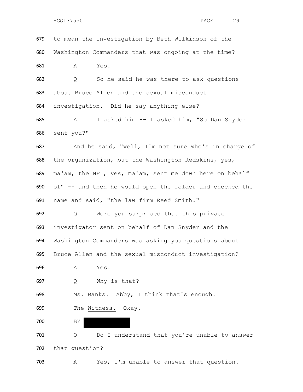to mean the investigation by Beth Wilkinson of the Washington Commanders that was ongoing at the time? A Yes.

 Q So he said he was there to ask questions about Bruce Allen and the sexual misconduct investigation. Did he say anything else?

 A I asked him -- I asked him, "So Dan Snyder sent you?"

 And he said, "Well, I'm not sure who's in charge of the organization, but the Washington Redskins, yes, ma'am, the NFL, yes, ma'am, sent me down here on behalf of" -- and then he would open the folder and checked the name and said, "the law firm Reed Smith."

 Q Were you surprised that this private investigator sent on behalf of Dan Snyder and the Washington Commanders was asking you questions about Bruce Allen and the sexual misconduct investigation?

A Yes.

Q Why is that?

Ms. Banks. Abby, I think that's enough.

The Witness. Okay.

BY

 Q Do I understand that you're unable to answer that question?

A Yes, I'm unable to answer that question.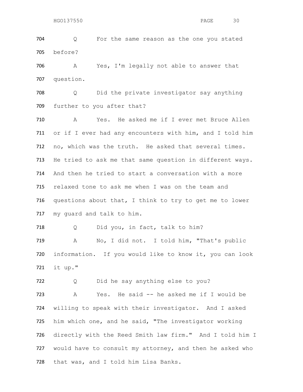Q For the same reason as the one you stated before?

 A Yes, I'm legally not able to answer that question.

 Q Did the private investigator say anything further to you after that?

 A Yes. He asked me if I ever met Bruce Allen or if I ever had any encounters with him, and I told him no, which was the truth. He asked that several times. He tried to ask me that same question in different ways. And then he tried to start a conversation with a more relaxed tone to ask me when I was on the team and questions about that, I think to try to get me to lower my guard and talk to him.

718 Q Did you, in fact, talk to him?

 A No, I did not. I told him, "That's public information. If you would like to know it, you can look it up."

722 Q Did he say anything else to you?

 A Yes. He said -- he asked me if I would be willing to speak with their investigator. And I asked him which one, and he said, "The investigator working directly with the Reed Smith law firm." And I told him I would have to consult my attorney, and then he asked who that was, and I told him Lisa Banks.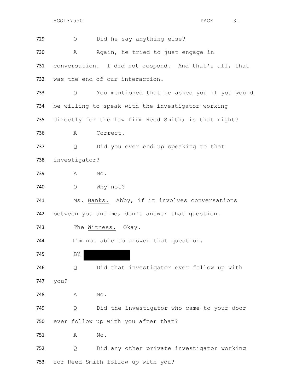| 729 | Did he say anything else?<br>Q                               |
|-----|--------------------------------------------------------------|
| 730 | Again, he tried to just engage in<br>А                       |
| 731 | conversation. I did not respond. And that's all, that        |
| 732 | was the end of our interaction.                              |
| 733 | You mentioned that he asked you if you would<br>$\mathsf{Q}$ |
| 734 | be willing to speak with the investigator working            |
| 735 | directly for the law firm Reed Smith; is that right?         |
| 736 | Correct.<br>A                                                |
| 737 | Q<br>Did you ever end up speaking to that                    |
| 738 | investigator?                                                |
| 739 | No.<br>Α                                                     |
| 740 | Why not?<br>Q                                                |
| 741 | Ms. Banks. Abby, if it involves conversations                |
| 742 | between you and me, don't answer that question.              |
| 743 | The Witness. Okay.                                           |
| 744 | I'm not able to answer that question.                        |
| 745 | ΒY                                                           |
| 746 | Did that investigator ever follow up with<br>Q               |
| 747 | you?                                                         |
| 748 | No.<br>Α                                                     |
| 749 | Did the investigator who came to your door<br>Q              |
| 750 | ever follow up with you after that?                          |
| 751 | No.<br>Α                                                     |
| 752 | Did any other private investigator working<br>Q              |
| 753 | for Reed Smith follow up with you?                           |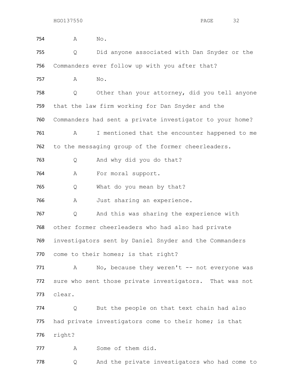| 754 | Α      | No.                                                      |
|-----|--------|----------------------------------------------------------|
| 755 | Q      | Did anyone associated with Dan Snyder or the             |
| 756 |        | Commanders ever follow up with you after that?           |
| 757 | A      | No.                                                      |
| 758 | Q      | Other than your attorney, did you tell anyone            |
| 759 |        | that the law firm working for Dan Snyder and the         |
| 760 |        | Commanders had sent a private investigator to your home? |
| 761 | A      | I mentioned that the encounter happened to me            |
| 762 |        | to the messaging group of the former cheerleaders.       |
| 763 | Q      | And why did you do that?                                 |
| 764 | A      | For moral support.                                       |
| 765 | Q      | What do you mean by that?                                |
| 766 | Α      | Just sharing an experience.                              |
| 767 | Q      | And this was sharing the experience with                 |
| 768 |        | other former cheerleaders who had also had private       |
| 769 |        | investigators sent by Daniel Snyder and the Commanders   |
| 770 |        | come to their homes; is that right?                      |
| 771 | A      | No, because they weren't -- not everyone was             |
| 772 |        | sure who sent those private investigators. That was not  |
| 773 | clear. |                                                          |
| 774 | Q      | But the people on that text chain had also               |
| 775 |        | had private investigators come to their home; is that    |
| 776 | right? |                                                          |
| 777 | A      | Some of them did.                                        |
| 778 | Q      | And the private investigators who had come to            |
|     |        |                                                          |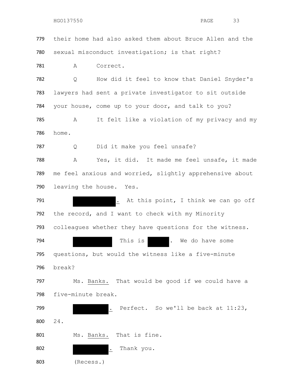their home had also asked them about Bruce Allen and the sexual misconduct investigation; is that right? A Correct. Q How did it feel to know that Daniel Snyder's lawyers had sent a private investigator to sit outside your house, come up to your door, and talk to you? A It felt like a violation of my privacy and my home. Q Did it make you feel unsafe? A Yes, it did. It made me feel unsafe, it made me feel anxious and worried, slightly apprehensive about leaving the house. Yes. 791 . At this point, I think we can go off the record, and I want to check with my Minority colleagues whether they have questions for the witness. 794 This is the do have some that is the Medo have some questions, but would the witness like a five-minute break? 797 Ms. Banks. That would be good if we could have a five-minute break. 799 . Perfect. So we'll be back at 11:23, 24. Ms. Banks. That is fine. 802 . Thank you. (Recess.)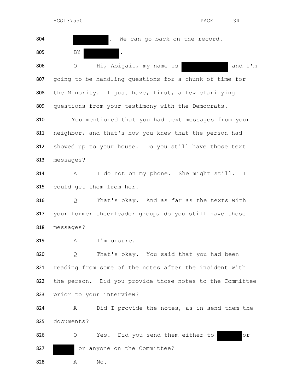| 804 | We can go back on the record.                              |
|-----|------------------------------------------------------------|
| 805 | ΒY<br>$\bullet$                                            |
| 806 | Hi, Abigail, my name is<br>and I'm<br>Q                    |
| 807 | going to be handling questions for a chunk of time for     |
| 808 | the Minority. I just have, first, a few clarifying         |
| 809 | questions from your testimony with the Democrats.          |
| 810 | You mentioned that you had text messages from your         |
| 811 | neighbor, and that's how you knew that the person had      |
| 812 | showed up to your house. Do you still have those text      |
| 813 | messages?                                                  |
| 814 | I do not on my phone. She might still.<br>А<br>T.          |
| 815 | could get them from her.                                   |
| 816 | That's okay. And as far as the texts with<br>Q             |
| 817 | your former cheerleader group, do you still have those     |
| 818 | messages?                                                  |
| 819 | Α<br>I'm unsure.                                           |
| 820 | That's okay. You said that you had been<br>Q               |
| 821 | reading from some of the notes after the incident with     |
| 822 | the person. Did you provide those notes to the Committee   |
| 823 | prior to your interview?                                   |
| 824 | Did I provide the notes, as in send them the<br>A          |
| 825 | documents?                                                 |
| 826 | Yes. Did you send them either to<br>Q<br>$\circ$ $\,$ $\,$ |
| 827 | or anyone on the Committee?                                |
| 828 | $\mathrm{No}$ .<br>Α                                       |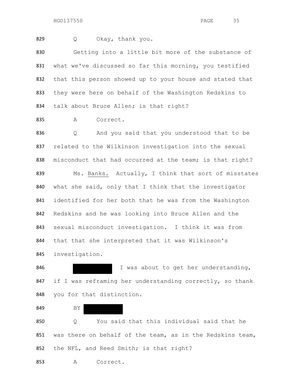829 O Okay, thank you.

 Getting into a little bit more of the substance of what we've discussed so far this morning, you testified that this person showed up to your house and stated that they were here on behalf of the Washington Redskins to 834 talk about Bruce Allen; is that right?

835 A Correct.

 Q And you said that you understood that to be related to the Wilkinson investigation into the sexual 838 misconduct that had occurred at the team; is that right? 839 Ms. Banks. Actually, I think that sort of misstates what she said, only that I think that the investigator identified for her both that he was from the Washington Redskins and he was looking into Bruce Allen and the sexual misconduct investigation. I think it was from that that she interpreted that it was Wilkinson's investigation.

846 Manus I was about to get her understanding, 847 if I was reframing her understanding correctly, so thank you for that distinction.

BY

 Q You said that this individual said that he 851 was there on behalf of the team, as in the Redskins team, 852 the NFL, and Reed Smith; is that right?

A Correct.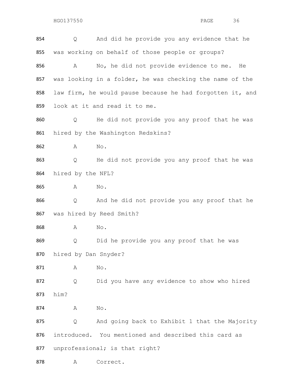| 854 | Q                    | And did he provide you any evidence that he               |
|-----|----------------------|-----------------------------------------------------------|
| 855 |                      | was working on behalf of those people or groups?          |
| 856 | A                    | No, he did not provide evidence to me.<br>He              |
| 857 |                      | was looking in a folder, he was checking the name of the  |
| 858 |                      | law firm, he would pause because he had forgotten it, and |
| 859 |                      | look at it and read it to me.                             |
| 860 | Q                    | He did not provide you any proof that he was              |
| 861 |                      | hired by the Washington Redskins?                         |
| 862 | A                    | No.                                                       |
| 863 | Q                    | He did not provide you any proof that he was              |
| 864 | hired by the NFL?    |                                                           |
| 865 | A                    | No.                                                       |
| 866 | Q                    | And he did not provide you any proof that he              |
| 867 |                      | was hired by Reed Smith?                                  |
| 868 | A                    | No.                                                       |
| 869 | Q                    | Did he provide you any proof that he was                  |
| 870 | hired by Dan Snyder? |                                                           |
| 871 | Α                    | $\mathop{\rm No}\nolimits$ .                              |
| 872 | Q                    | Did you have any evidence to show who hired               |
| 873 | him?                 |                                                           |
| 874 | A                    | $\mathrm{No}$ .                                           |
| 875 | Q                    | And going back to Exhibit 1 that the Majority             |
| 876 |                      | introduced. You mentioned and described this card as      |
| 877 |                      | unprofessional; is that right?                            |
| 878 | Α                    | Correct.                                                  |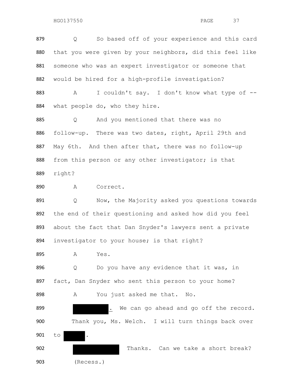Q So based off of your experience and this card that you were given by your neighbors, did this feel like someone who was an expert investigator or someone that would be hired for a high-profile investigation? A I couldn't say. I don't know what type of --

what people do, who they hire.

 Q And you mentioned that there was no follow-up. There was two dates, right, April 29th and 887 May 6th. And then after that, there was no follow-up 888 from this person or any other investigator; is that right?

890 A Correct.

 Q Now, the Majority asked you questions towards the end of their questioning and asked how did you feel about the fact that Dan Snyder's lawyers sent a private investigator to your house; is that right?

A Yes.

896 Q Do you have any evidence that it was, in 897 fact, Dan Snyder who sent this person to your home? A You just asked me that. No.

**.** We can go ahead and go off the record. 900 Thank you, Ms. Welch. I will turn things back over to . 902 Thanks. Can we take a short break?

(Recess.)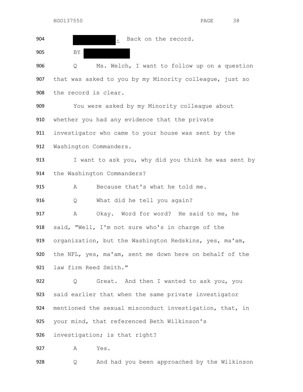| 904 | Back on the record.                                     |
|-----|---------------------------------------------------------|
| 905 | BY                                                      |
| 906 | Ms. Welch, I want to follow up on a question<br>Q       |
| 907 | that was asked to you by my Minority colleague, just so |
| 908 | the record is clear.                                    |
| 909 | You were asked by my Minority colleague about           |
| 910 | whether you had any evidence that the private           |
| 911 | investigator who came to your house was sent by the     |
| 912 | Washington Commanders.                                  |
| 913 | I want to ask you, why did you think he was sent by     |
| 914 | the Washington Commanders?                              |
| 915 | Because that's what he told me.<br>Α                    |
| 916 | What did he tell you again?<br>Q                        |
| 917 | Okay. Word for word? He said to me, he<br>A             |
| 918 | said, "Well, I'm not sure who's in charge of the        |
| 919 | organization, but the Washington Redskins, yes, ma'am,  |
| 920 | the NFL, yes, ma'am, sent me down here on behalf of the |
| 921 | law firm Reed Smith."                                   |
| 922 | Great. And then I wanted to ask you, you<br>Q           |
| 923 | said earlier that when the same private investigator    |
| 924 | mentioned the sexual misconduct investigation, that, in |
| 925 | your mind, that referenced Beth Wilkinson's             |
| 926 | investigation; is that right?                           |
| 927 | Yes.<br>Α                                               |
| 928 | And had you been approached by the Wilkinson<br>Q       |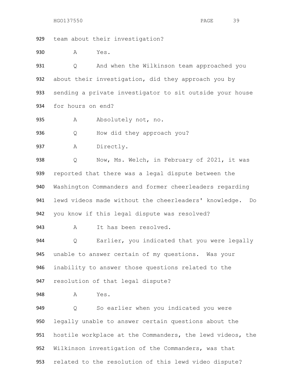team about their investigation?

A Yes.

 Q And when the Wilkinson team approached you 932 about their investigation, did they approach you by sending a private investigator to sit outside your house for hours on end?

A Absolutely not, no.

Q How did they approach you?

A Directly.

938 Q Now, Ms. Welch, in February of 2021, it was reported that there was a legal dispute between the Washington Commanders and former cheerleaders regarding lewd videos made without the cheerleaders' knowledge. Do you know if this legal dispute was resolved?

A It has been resolved.

 Q Earlier, you indicated that you were legally unable to answer certain of my questions. Was your inability to answer those questions related to the resolution of that legal dispute?

948 A Yes.

 Q So earlier when you indicated you were legally unable to answer certain questions about the hostile workplace at the Commanders, the lewd videos, the Wilkinson investigation of the Commanders, was that related to the resolution of this lewd video dispute?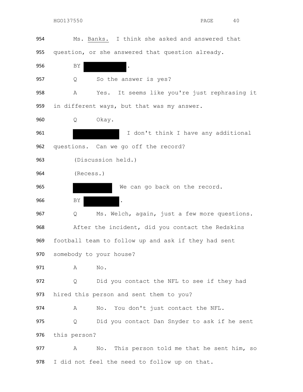| 954 | Ms. Banks. I think she asked and answered that       |
|-----|------------------------------------------------------|
| 955 | question, or she answered that question already.     |
| 956 | ΒY                                                   |
| 957 | So the answer is yes?<br>Q                           |
| 958 | It seems like you're just rephrasing it<br>Α<br>Yes. |
| 959 | in different ways, but that was my answer.           |
| 960 | Okay.<br>Q                                           |
| 961 | I don't think I have any additional                  |
| 962 | questions. Can we go off the record?                 |
| 963 | (Discussion held.)                                   |
| 964 | (Recess.)                                            |
| 965 | We can go back on the record.                        |
| 966 | ΒY<br>$\ddot{\phantom{a}}$                           |
| 967 | Ms. Welch, again, just a few more questions.<br>Q    |
| 968 | After the incident, did you contact the Redskins     |
| 969 | football team to follow up and ask if they had sent  |
| 970 | somebody to your house?                              |
| 971 | No.<br>A                                             |
| 972 | Did you contact the NFL to see if they had<br>Q      |
| 973 | hired this person and sent them to you?              |
| 974 | You don't just contact the NFL.<br>A<br>No.          |
| 975 | Did you contact Dan Snyder to ask if he sent<br>Q    |
| 976 | this person?                                         |
| 977 | No. This person told me that he sent him, so<br>Α    |
| 978 | I did not feel the need to follow up on that.        |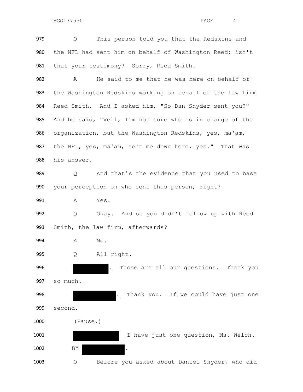Q This person told you that the Redskins and the NFL had sent him on behalf of Washington Reed; isn't 981 that your testimony? Sorry, Reed Smith. A He said to me that he was here on behalf of

 the Washington Redskins working on behalf of the law firm Reed Smith. And I asked him, "So Dan Snyder sent you?" And he said, "Well, I'm not sure who is in charge of the organization, but the Washington Redskins, yes, ma'am, the NFL, yes, ma'am, sent me down here, yes." That was his answer.

 Q And that's the evidence that you used to base your perception on who sent this person, right?

A Yes.

 Q Okay. And so you didn't follow up with Reed Smith, the law firm, afterwards?

- A No.
- Q All right.

 . Those are all our questions. Thank you so much. **.** Thank you. If we could have just one second.